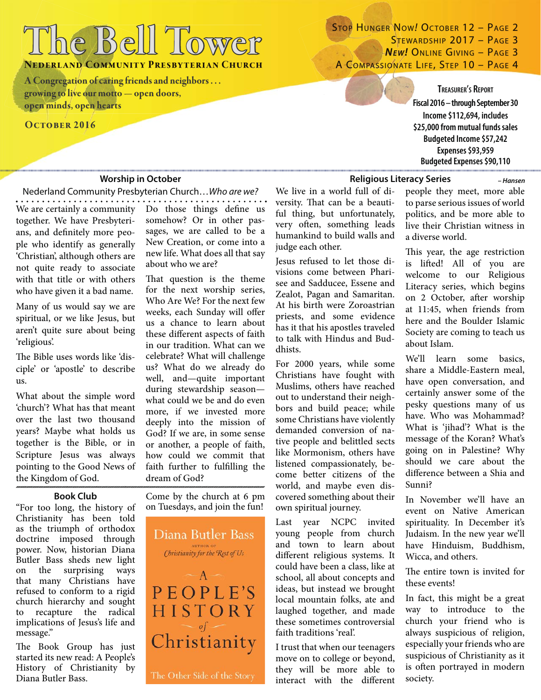# **The Bell Tower he**

**NEDERLAND COMMUNITY PRESBYTERIAN CHURCH** 

**A Congregation of caring friends and neighbors . . . Congregation ofcaring friendsand neighbors . . . growing to live our motto — open doors, rowing to live our motto — open open minds, open hearts pen minds, open**

### **OCTOBER 2016**

### STOP HUNGER NOW! OCTOBER 12 – PAGE 2 STEWARDSHIP 2017 - PAGE 3 **NEW! ONLINE GIVING - PAGE 3** A COMPASSIONATE LIFE, STEP 10 - PAGE 4

**TREASURER'S REPORT Fiscal 2016 – through September 30 Income \$112,694, includes \$25,000 from mutual funds sales Budgeted Income \$57,242 Expenses \$93,959 Budgeted Expenses \$90,110**

### **Worship in October**

Nederland Community Presbyterian Church…Who are we?

We are certainly a community Do those things define us together. We have Presbyterians, and definitely more people who identify as generally 'Christian', although others are not quite ready to associate with that title or with others who have given it a bad name.

Many of us would say we are spiritual, or we like Jesus, but aren't quite sure about being 'religious'.

The Bible uses words like 'disciple' or 'apostle' to describe us.

What about the simple word 'church'? What has that meant over the last two thousand years? Maybe what holds us together is the Bible, or in Scripture Jesus was always pointing to the Good News of the Kingdom of God.

**Book Club**

"For too long, the history of Christianity has been told as the triumph of orthodox doctrine imposed through power. Now, historian Diana Butler Bass sheds new light on the surprising ways that many Christians have refused to conform to a rigid church hierarchy and sought to recapture the radical implications of Jesus's life and message."

The Book Group has just started its new read: A People's History of Christianity by Diana Butler Bass.

somehow? Or in other passages, we are called to be a New Creation, or come into a new life. What does all that say about who we are?

That question is the theme for the next worship series, Who Are We? For the next few weeks, each Sunday will offer us a chance to learn about these different aspects of faith in our tradition. What can we celebrate? What will challenge us? What do we already do well, and—quite important during stewardship season what could we be and do even more, if we invested more deeply into the mission of God? If we are, in some sense or another, a people of faith, how could we commit that faith further to fulfilling the dream of God?

Come by the church at 6 pm on Tuesdays, and join the fun!



We live in a world full of diversity. That can be a beautiful thing, but unfortunately, very often, something leads humankind to build walls and judge each other.

Jesus refused to let those divisions come between Pharisee and Sadducee, Essene and Zealot, Pagan and Samaritan. At his birth were Zoroastrian priests, and some evidence has it that his apostles traveled to talk with Hindus and Buddhists.

For 2000 years, while some Christians have fought with Muslims, others have reached out to understand their neighbors and build peace; while some Christians have violently demanded conversion of native people and belittled sects like Mormonism, others have listened compassionately, become better citizens of the world, and maybe even discovered something about their own spiritual journey.

Last year NCPC invited young people from church and town to learn about different religious systems. It could have been a class, like at school, all about concepts and ideas, but instead we brought local mountain folks, ate and laughed together, and made these sometimes controversial faith traditions 'real'.

I trust that when our teenagers move on to college or beyond, they will be more able to interact with the different

**Religious Literacy Series**

people they meet, more able to parse serious issues of world politics, and be more able to live their Christian witness in a diverse world.

*– Hansen*

This year, the age restriction is lifted! All of you are welcome to our Religious Literacy series, which begins on 2 October, after worship at 11:45, when friends from here and the Boulder Islamic Society are coming to teach us about Islam.

We'll learn some basics, share a Middle-Eastern meal, have open conversation, and certainly answer some of the pesky questions many of us have. Who was Mohammad? What is 'jihad'? What is the message of the Koran? What's going on in Palestine? Why should we care about the difference between a Shia and Sunni?

In November we'll have an event on Native American spirituality. In December it's Judaism. In the new year we'll have Hinduism, Buddhism, Wicca, and others.

The entire town is invited for these events!

In fact, this might be a great way to introduce to the church your friend who is always suspicious of religion, especially your friends who are suspicious of Christianity as it is often portrayed in modern society.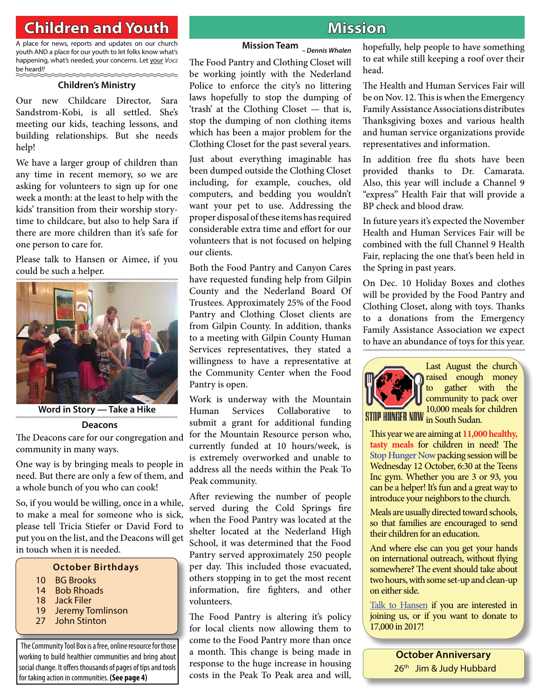### **Children and Youth hildren Mission**

A place for news, reports and updates on our church youth AND a place for our youth to let folks know what's happening, what's needed, your concerns. Let your Voice be heard!!

### **Children's Ministry**

Our new Childcare Director, Sara Sandstrom-Kobi, is all settled. She's meeting our kids, teaching lessons, and building relationships. But she needs help!

We have a larger group of children than any time in recent memory, so we are asking for volunteers to sign up for one week a month: at the least to help with the kids' transition from their worship storytime to childcare, but also to help Sara if there are more children than it's safe for one person to care for.

Please talk to Hansen or Aimee, if you could be such a helper.



**Word in Story — Take a Hike**

#### **Deacons**

The Deacons care for our congregation and community in many ways.

One way is by bringing meals to people in need. But there are only a few of them, and a whole bunch of you who can cook!

So, if you would be willing, once in a while, to make a meal for someone who is sick, please tell Tricia Stiefer or David Ford to put you on the list, and the Deacons will get in touch when it is needed.

### **October Birthdays**

- 10 BG Brooks
- 14 Bob Rhoads
- 18 Jack Filer
- 19 Jeremy Tomlinson
- 27 John Stinton

The Community Tool Box is a free, online resource for those working to build healthier communities and bring about social change. It offers thousands of pages of tips and tools for taking action in communities. **(See page 4)**

### **Mission Team** *– Dennis Whalen*

The Food Pantry and Clothing Closet will be working jointly with the Nederland Police to enforce the city's no littering laws hopefully to stop the dumping of 'trash' at the Clothing Closet — that is, stop the dumping of non clothing items which has been a major problem for the Clothing Closet for the past several years.

Just about everything imaginable has been dumped outside the Clothing Closet including, for example, couches, old computers, and bedding you wouldn't want your pet to use. Addressing the proper disposal of these items has required considerable extra time and effort for our volunteers that is not focused on helping our clients.

Both the Food Pantry and Canyon Cares have requested funding help from Gilpin County and the Nederland Board Of Trustees. Approximately 25% of the Food Pantry and Clothing Closet clients are from Gilpin County. In addition, thanks to a meeting with Gilpin County Human Services representatives, they stated a willingness to have a representative at the Community Center when the Food Pantry is open.

Work is underway with the Mountain Human Services Collaborative to submit a grant for additional funding for the Mountain Resource person who, currently funded at 10 hours/week, is is extremely overworked and unable to address all the needs within the Peak To Peak community.

After reviewing the number of people served during the Cold Springs fire when the Food Pantry was located at the shelter located at the Nederland High School, it was determined that the Food Pantry served approximately 250 people per day. This included those evacuated, others stopping in to get the most recent information, fire fighters, and other volunteers.

The Food Pantry is altering it's policy for local clients now allowing them to come to the Food Pantry more than once a month. This change is being made in response to the huge increase in housing costs in the Peak To Peak area and will, hopefully, help people to have something to eat while still keeping a roof over their head.

The Health and Human Services Fair will be on Nov. 12. This is when the Emergency Family Assistance Associations distributes Thanksgiving boxes and various health and human service organizations provide representatives and information.

In addition free flu shots have been provided thanks to Dr. Camarata. Also, this year will include a Channel 9 "express" Health Fair that will provide a BP check and blood draw.

In future years it's expected the November Health and Human Services Fair will be combined with the full Channel 9 Health Fair, replacing the one that's been held in the Spring in past years.

On Dec. 10 Holiday Boxes and clothes will be provided by the Food Pantry and Clothing Closet, along with toys. Thanks to a donations from the Emergency Family Assistance Association we expect to have an abundance of toys for this year.



Last August the church raised enough money to gather with the community to pack over 10,000 meals for children

This year we are aiming at 11,000 healthy, tasty meals for children in need! The **Stop Hunger Now** packing session will be Wednesday 12 October, 6:30 at the Teens Inc gym. Whether you are 3 or 93, you can be a helper! It's fun and a great way to introduce your neighbors to the church.

Meals are usually directed toward schools, so that families are encouraged to send their children for an education.

And where else can you get your hands on international outreach, without flying somewhere? The event should take about two hours, with some set-up and clean-up on either side.

Talk to Hansen if you are interested in joining us, or if you want to donate to 17,000 in 2017!

> **October Anniversary** 26<sup>th</sup> Jim & Judy Hubbard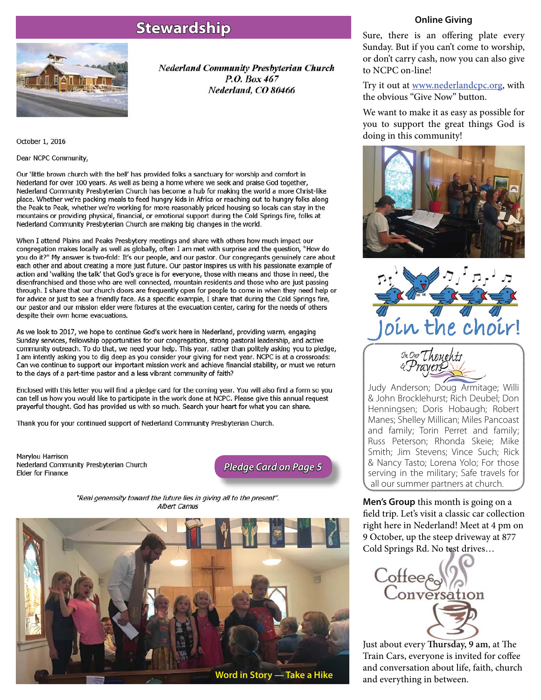### **Stewardship tewardship**



**Nederland Community Presbyterian Church** P.O. Box 467 Nederland, CO 80466

October 1, 2016

Dear NCPC Community,

Our 'little brown church with the bell' has provided folks a sanctuary for worship and comfort in Nederland for over 100 years. As well as being a home where we seek and praise God together, Nederland Community Presbyterian Church has become a hub for making the world a more Christ-like place. Whether we're packing meals to feed hungry kids in Africa or reaching out to hungry folks along the Peak to Peak, whether we're working for more reasonably priced housing so locals can stay in the mountains or providing physical, financial, or emotional support during the Cold Springs fire, folks at Nederland Community Presbyterian Church are making big changes in the world.

When I attend Plains and Peaks Presbytery meetings and share with others how much impact our congregation makes locally as well as globally, often I am met with surprise and the question, "How do you do it?" My answer is two-fold: It's our people, and our pastor. Our congregants genuinely care about each other and about creating a more just future. Our pastor inspires us with his passionate example of action and 'walking the talk' that God's grace is for everyone, those with means and those in need, the disenfranchised and those who are well connected, mountain residents and those who are just passing through. I share that our church doors are frequently open for people to come in when they need help or for advice or just to see a friendly face. As a specific example, I share that during the Cold Springs fire, our pastor and our mission elder were fixtures at the evacuation center, caring for the needs of others despite their own home evacuations.

As we look to 2017, we hope to continue God's work here in Nederland, providing warm, engaging Sunday services, fellowship opportunities for our congregation, strong pastoral leadership, and active community outreach. To do that, we need your help. This year, rather than politely asking you to pledge, I am intently asking you to dig deep as you consider your giving for next year. NCPC is at a crossroads: Can we continue to support our important mission work and achieve financial stability, or must we return to the days of a part-time pastor and a less vibrant community of faith?

Enclosed with this letter you will find a pledge card for the coming year. You will also find a form so you can tell us how you would like to participate in the work done at NCPC. Please give this annual request prayerful thought. God has provided us with so much. Search your heart for what you can share.

Thank you for your continued support of Nederland Community Presbyterian Church.

Marylou Harrison Nederland Community Presbyterian Church **Elder for Finance** 

*Pledge Card on Page 5 ledge* 

"Real generosity toward the future lies in giving all to the present". Albert Camus



### **Online Giving**

Sure, there is an offering plate every Sunday. But if you can't come to worship, or don't carry cash, now you can also give to NCPC on-line!

Try it out at <u>www.nederlandcpc.org</u>, with the obvious "Give Now" button.

We want to make it as easy as possible for you to support the great things God is doing in this community!





Judy Anderson; Doug Armitage; Willi & John Brocklehurst; Rich Deubel; Don Henningsen; Doris Hobaugh; Robert Manes; Shelley Millican; Miles Pancoast and family; Torin Perret and family; Russ Peterson; Rhonda Skeie; Mike Smith; Jim Stevens; Vince Such; Rick & Nancy Tasto; Lorena Yolo; For those serving in the military; Safe travels for all our summer partners at church.

**Men's Group** this month is going on a field trip. Let's visit a classic car collection right here in Nederland! Meet at 4 pm on 9 October, up the steep driveway at 877 Cold Springs Rd. No test drives…



Just about every **Thursday**, 9 am, at The Train Cars, everyone is invited for coffee and conversation about life, faith, church and everything in between.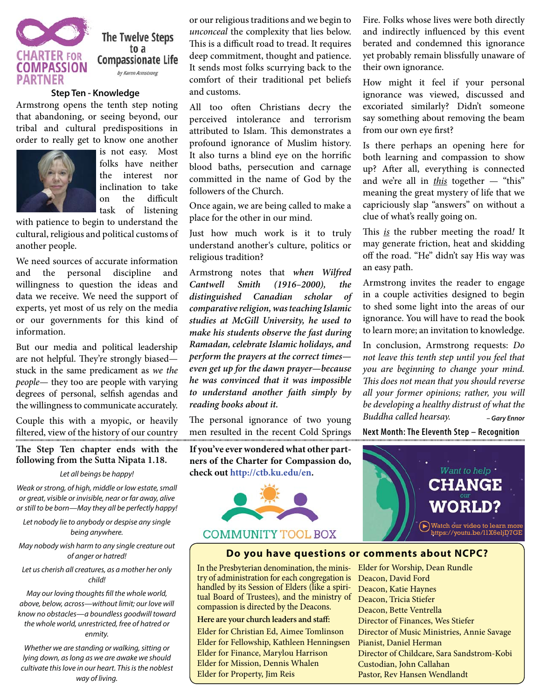

The Twelve Steps to a **Compassionate Life** by Karen Armstrong

#### **Step Ten - Knowledge**

Armstrong opens the tenth step noting that abandoning, or seeing beyond, our tribal and cultural predispositions in order to really get to know one another



is not easy. Most folks have neither the interest nor inclination to take on the difficult task of listening

with patience to begin to understand the cultural, religious and political customs of another people.

We need sources of accurate information and the personal discipline and willingness to question the ideas and data we receive. We need the support of experts, yet most of us rely on the media or our governments for this kind of information.

But our media and political leadership are not helpful. They're strongly biased stuck in the same predicament as we the people— they too are people with varying degrees of personal, selfish agendas and the willingness to communicate accurately.

Couple this with a myopic, or heavily filtered, view of the history of our country

### The Step Ten chapter ends with the **following from the Sutta Nipata 1.18.**

#### Let all beings be happy!

Weak or strong, of high, middle or low estate, small or great, visible or invisible, near or far away, alive or still to be born—May they all be perfectly happy!

Let nobody lie to anybody or despise any single being anywhere.

May nobody wish harm to any single creature out of anger or hatred!

Let us cherish all creatures, as a mother her only child!

May our loving thoughts fill the whole world, above, below, across—without limit; our love will know no obstacles—a boundless goodwill toward the whole world, unrestricted, free of hatred or enmity.

Whether we are standing or walking, sitting or lying down, as long as we are awake we should cultivate this love in our heart. This is the noblest way of living.

or our religious traditions and we begin to unconceal the complexity that lies below. This is a difficult road to tread. It requires deep commitment, thought and patience. It sends most folks scurrying back to the comfort of their traditional pet beliefs and customs.

All too often Christians decry the perceived intolerance and terrorism attributed to Islam. This demonstrates a profound ignorance of Muslim history. It also turns a blind eye on the horrific blood baths, persecution and carnage committed in the name of God by the followers of the Church.

Once again, we are being called to make a place for the other in our mind.

Just how much work is it to truly understand another's culture, politics or religious tradition?

Armstrong notes that *when Wilfred Cantwell Smith (1916–2000), the distinguished Canadian scholar of comparative religion, was teaching Islamic studies at McGill University, he used to make his students observe the fast during Ramadan, celebrate Islamic holidays, and perform the prayers at the correct times even get up for the dawn prayer—because he was convinced that it was impossible to understand another faith simply by reading books about it.*

The personal ignorance of two young men resulted in the recent Cold Springs

**If you've ever wondered what other partners of the Charter for Compassion do, check out http://ctb.ku.edu/en.**



Fire. Folks whose lives were both directly and indirectly influenced by this event berated and condemned this ignorance yet probably remain blissfully unaware of their own ignorance.

How might it feel if your personal ignorance was viewed, discussed and excoriated similarly? Didn't someone say something about removing the beam from our own eye first?

Is there perhaps an opening here for both learning and compassion to show up? After all, everything is connected and we're all in *this* together  $-$  "this" meaning the great mystery of life that we capriciously slap "answers" on without a clue of what's really going on.

This  $is$  the rubber meeting the road! It may generate friction, heat and skidding off the road. "He" didn't say His way was an easy path.

Armstrong invites the reader to engage in a couple activities designed to begin to shed some light into the areas of our ignorance. You will have to read the book to learn more; an invitation to knowledge.

In conclusion, Armstrong requests: Do not leave this tenth step until you feel that you are beginning to change your mind. This does not mean that you should reverse all your former opinions; rather, you will be developing a healthy distrust of what the Buddha called hearsay. *– Gary Ennor*

**Next Month: The Eleventh Step – Recognition**



### **Do you have questions or comments about NCPC?**

In the Presbyterian denomination, the ministry of administration for each congregation is handled by its Session of Elders (like a spiritual Board of Trustees), and the ministry of compassion is directed by the Deacons.

### Here are your church leaders and staff: Elder for Christian Ed, Aimee Tomlinson Elder for Fellowship, Kathleen Henningsen Elder for Finance, Marylou Harrison Elder for Mission, Dennis Whalen Elder for Property, Jim Reis

Elder for Worship, Dean Rundle Deacon, David Ford Deacon, Katie Haynes Deacon, Tricia Stiefer Deacon, Bette Ventrella Director of Finances, Wes Stiefer Director of Music Ministries, Annie Savage Pianist, Daniel Herman Director of Childcare, Sara Sandstrom-Kobi Custodian, John Callahan Pastor, Rev Hansen Wendlandt